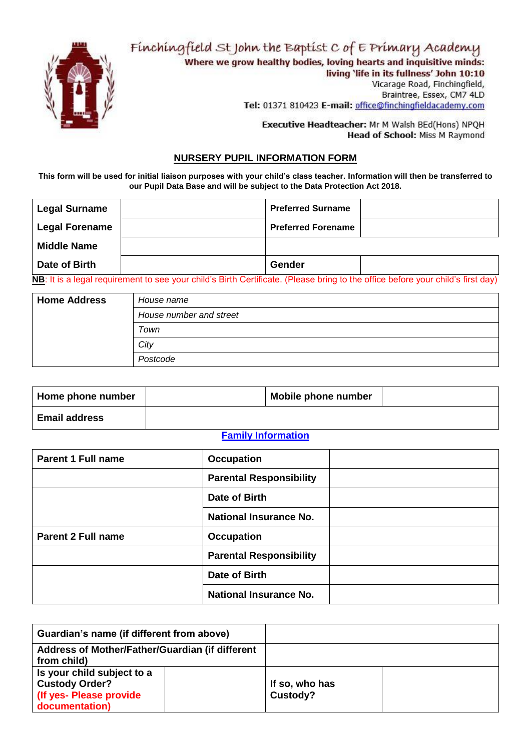Finchingfield St John the Baptist C of E Primary Academy



Where we grow healthy bodies, loving hearts and inquisitive minds: living 'life in its fullness' John 10:10

Vicarage Road, Finchingfield, Braintree, Essex, CM7 4LD Tel: 01371 810423 E-mail: office@finchingfieldacademy.com

Executive Headteacher: Mr M Walsh BEd(Hons) NPQH Head of School: Miss M Raymond

#### **NURSERY PUPIL INFORMATION FORM**

**This form will be used for initial liaison purposes with your child's class teacher. Information will then be transferred to our Pupil Data Base and will be subject to the Data Protection Act 2018.**

| <b>Legal Surname</b>  | <b>Preferred Surname</b>  |  |
|-----------------------|---------------------------|--|
| <b>Legal Forename</b> | <b>Preferred Forename</b> |  |
| <b>Middle Name</b>    |                           |  |
| Date of Birth         | Gender                    |  |

**NB**: It is a legal requirement to see your child's Birth Certificate. (Please bring to the office before your child's first day)

| <b>Home Address</b> | House name              |  |
|---------------------|-------------------------|--|
|                     | House number and street |  |
| Town                |                         |  |
| City                |                         |  |
|                     | Postcode                |  |

| Home phone number    | Mobile phone number |  |
|----------------------|---------------------|--|
| <b>Email address</b> |                     |  |

#### **Family Information**

| <b>Parent 1 Full name</b> | <b>Occupation</b>              |
|---------------------------|--------------------------------|
|                           | <b>Parental Responsibility</b> |
|                           | Date of Birth                  |
|                           | <b>National Insurance No.</b>  |
| <b>Parent 2 Full name</b> | <b>Occupation</b>              |
|                           | <b>Parental Responsibility</b> |
|                           | Date of Birth                  |
|                           | <b>National Insurance No.</b>  |

| Guardian's name (if different from above)                                                         |                            |  |
|---------------------------------------------------------------------------------------------------|----------------------------|--|
| Address of Mother/Father/Guardian (if different<br>from child)                                    |                            |  |
| Is your child subject to a<br><b>Custody Order?</b><br>(If yes- Please provide)<br>documentation) | If so, who has<br>Custody? |  |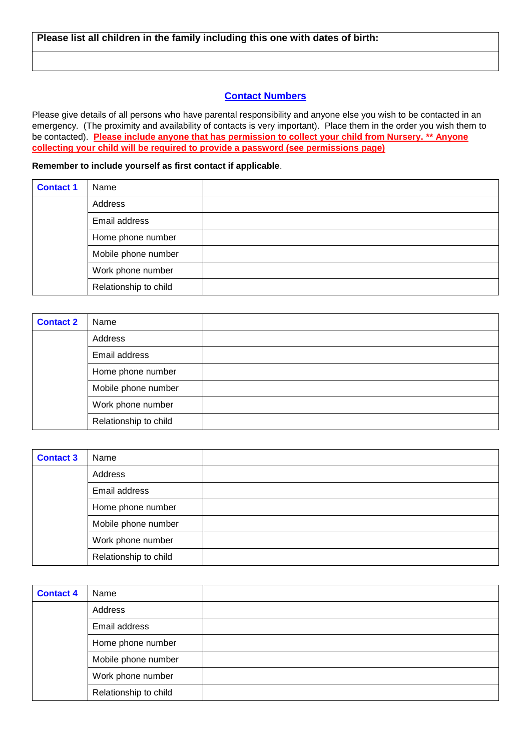#### **Contact Numbers**

Please give details of all persons who have parental responsibility and anyone else you wish to be contacted in an emergency. (The proximity and availability of contacts is very important). Place them in the order you wish them to be contacted). **Please include anyone that has permission to collect your child from Nursery. \*\* Anyone collecting your child will be required to provide a password (see permissions page)**

**Remember to include yourself as first contact if applicable**.

| <b>Contact 1</b> | Name                  |  |
|------------------|-----------------------|--|
|                  | Address               |  |
|                  | Email address         |  |
|                  | Home phone number     |  |
|                  | Mobile phone number   |  |
|                  | Work phone number     |  |
|                  | Relationship to child |  |

| <b>Contact 2</b> | Name                  |  |
|------------------|-----------------------|--|
|                  | Address               |  |
|                  | Email address         |  |
|                  | Home phone number     |  |
|                  | Mobile phone number   |  |
|                  | Work phone number     |  |
|                  | Relationship to child |  |

| <b>Contact 3</b> | Name                  |  |
|------------------|-----------------------|--|
|                  | Address               |  |
|                  | Email address         |  |
|                  | Home phone number     |  |
|                  | Mobile phone number   |  |
|                  | Work phone number     |  |
|                  | Relationship to child |  |

| <b>Contact 4</b> | Name                  |  |
|------------------|-----------------------|--|
|                  | Address               |  |
|                  | Email address         |  |
|                  | Home phone number     |  |
|                  | Mobile phone number   |  |
|                  | Work phone number     |  |
|                  | Relationship to child |  |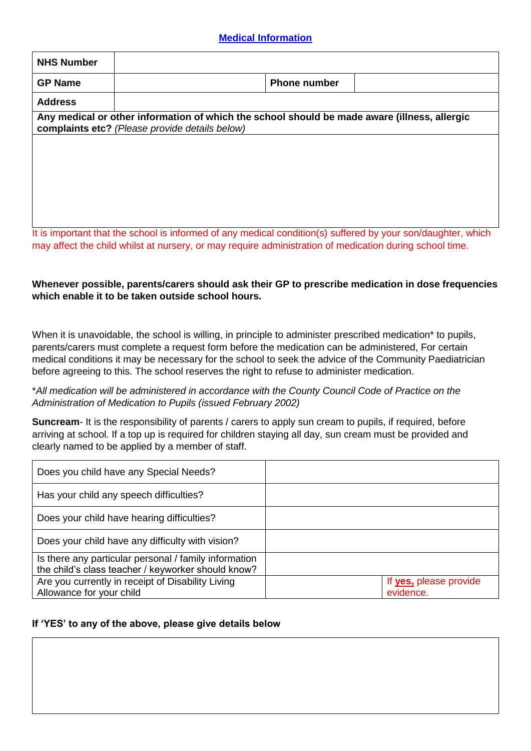# **Medical Information**

| <b>NHS Number</b> |                                                                                                                                                |  |
|-------------------|------------------------------------------------------------------------------------------------------------------------------------------------|--|
| <b>GP Name</b>    | <b>Phone number</b>                                                                                                                            |  |
| <b>Address</b>    |                                                                                                                                                |  |
|                   | Any medical or other information of which the school should be made aware (illness, allergic<br>complaints etc? (Please provide details below) |  |
|                   |                                                                                                                                                |  |
|                   |                                                                                                                                                |  |
|                   |                                                                                                                                                |  |
|                   |                                                                                                                                                |  |
|                   | It is important that the cahool in informaci of only modified condition(a) outforced by your condition which into                              |  |

It is important that the school is informed of any medical condition(s) suffered by your son/daughter, which may affect the child whilst at nursery, or may require administration of medication during school time.

## **Whenever possible, parents/carers should ask their GP to prescribe medication in dose frequencies which enable it to be taken outside school hours.**

When it is unavoidable, the school is willing, in principle to administer prescribed medication\* to pupils, parents/carers must complete a request form before the medication can be administered, For certain medical conditions it may be necessary for the school to seek the advice of the Community Paediatrician before agreeing to this. The school reserves the right to refuse to administer medication.

# \**All medication will be administered in accordance with the County Council Code of Practice on the Administration of Medication to Pupils (issued February 2002)*

**Suncream-** It is the responsibility of parents / carers to apply sun cream to pupils, if required, before arriving at school. If a top up is required for children staying all day, sun cream must be provided and clearly named to be applied by a member of staff.

| Does you child have any Special Needs?                |                        |
|-------------------------------------------------------|------------------------|
| Has your child any speech difficulties?               |                        |
| Does your child have hearing difficulties?            |                        |
| Does your child have any difficulty with vision?      |                        |
| Is there any particular personal / family information |                        |
| the child's class teacher / keyworker should know?    |                        |
| Are you currently in receipt of Disability Living     | If yes, please provide |
| Allowance for your child                              | evidence.              |

# **If 'YES' to any of the above, please give details below**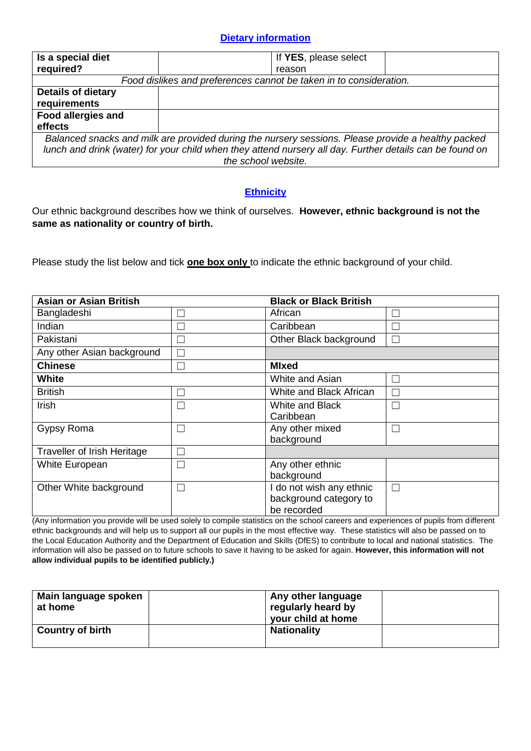## **Dietary information**

| Is a special diet                                                                                        | If YES, please select                                              |  |
|----------------------------------------------------------------------------------------------------------|--------------------------------------------------------------------|--|
| required?                                                                                                | reason                                                             |  |
|                                                                                                          | Food dislikes and preferences cannot be taken in to consideration. |  |
| <b>Details of dietary</b>                                                                                |                                                                    |  |
| requirements                                                                                             |                                                                    |  |
| <b>Food allergies and</b>                                                                                |                                                                    |  |
| effects                                                                                                  |                                                                    |  |
| Balanced snacks and milk are provided during the nursery sessions. Please provide a healthy packed       |                                                                    |  |
| lunch and drink (water) for your child when they attend nursery all day. Further details can be found on |                                                                    |  |
| the school website.                                                                                      |                                                                    |  |

# **Ethnicity**

Our ethnic background describes how we think of ourselves. **However, ethnic background is not the same as nationality or country of birth.**

Please study the list below and tick **one box only** to indicate the ethnic background of your child.

| <b>Asian or Asian British</b>      |   | <b>Black or Black British</b> |        |  |
|------------------------------------|---|-------------------------------|--------|--|
| Bangladeshi                        |   | African                       |        |  |
| Indian                             |   | Caribbean                     |        |  |
| Pakistani                          |   | Other Black background        |        |  |
| Any other Asian background         |   |                               |        |  |
| <b>Chinese</b>                     | ┑ | <b>MIxed</b>                  |        |  |
| <b>White</b>                       |   | White and Asian               |        |  |
| <b>British</b>                     |   | White and Black African       |        |  |
| Irish                              |   | White and Black               |        |  |
|                                    |   | Caribbean                     |        |  |
| Gypsy Roma                         | ٦ | Any other mixed               |        |  |
|                                    |   | background                    |        |  |
| <b>Traveller of Irish Heritage</b> |   |                               |        |  |
| White European                     | п | Any other ethnic              |        |  |
|                                    |   | background                    |        |  |
| Other White background             | П | I do not wish any ethnic      | $\Box$ |  |
|                                    |   | background category to        |        |  |
|                                    |   | be recorded                   |        |  |

(Any information you provide will be used solely to compile statistics on the school careers and experiences of pupils from different ethnic backgrounds and will help us to support all our pupils in the most effective way. These statistics will also be passed on to the Local Education Authority and the Department of Education and Skills (DfES) to contribute to local and national statistics. The information will also be passed on to future schools to save it having to be asked for again. **However, this information will not allow individual pupils to be identified publicly.)**

| Main language spoken<br>at home | Any other language<br>regularly heard by<br>your child at home |  |
|---------------------------------|----------------------------------------------------------------|--|
| <b>Country of birth</b>         | <b>Nationality</b>                                             |  |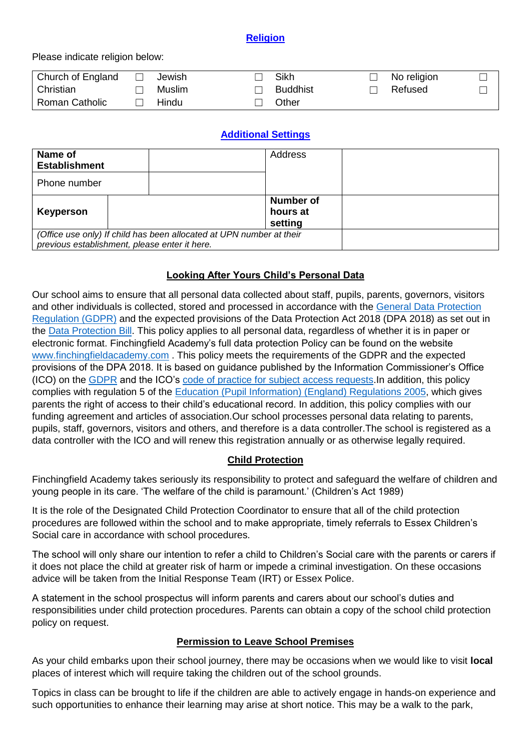## **Religion**

#### Please indicate religion below:

| Church of England     | Jewish | Sikh            | No religion |  |
|-----------------------|--------|-----------------|-------------|--|
| Christian             | Muslim | <b>Buddhist</b> | Refused     |  |
| <b>Roman Catholic</b> | Hindu  | Other           |             |  |

# **Additional Settings**

| Name of<br><b>Establishment</b>               |                                                                      | Address                                 |  |
|-----------------------------------------------|----------------------------------------------------------------------|-----------------------------------------|--|
| Phone number                                  |                                                                      |                                         |  |
| Keyperson                                     |                                                                      | <b>Number of</b><br>hours at<br>setting |  |
| previous establishment, please enter it here. | (Office use only) If child has been allocated at UPN number at their |                                         |  |

## **Looking After Yours Child's Personal Data**

Our school aims to ensure that all personal data collected about staff, pupils, parents, governors, visitors and other individuals is collected, stored and processed in accordance with the [General Data Protection](http://data.consilium.europa.eu/doc/document/ST-5419-2016-INIT/en/pdf)  [Regulation \(GDPR\)](http://data.consilium.europa.eu/doc/document/ST-5419-2016-INIT/en/pdf) and the expected provisions of the Data Protection Act 2018 (DPA 2018) as set out in the [Data Protection](https://publications.parliament.uk/pa/bills/cbill/2017-2019/0153/18153.pdf) Bill. This policy applies to all personal data, regardless of whether it is in paper or electronic format. Finchingfield Academy's full data protection Policy can be found on the website [www.finchingfieldacademy.com](http://www.finchingfieldacademy.com/) . This policy meets the requirements of the GDPR and the expected provisions of the DPA 2018. It is based on guidance published by the Information Commissioner's Office (ICO) on the [GDPR](https://ico.org.uk/for-organisations/guide-to-the-general-data-protection-regulation-gdpr/) and the ICO's [code of practice for subject access requests.](https://ico.org.uk/media/for-organisations/documents/2014223/subject-access-code-of-practice.pdf)In addition, this policy complies with regulation 5 of the [Education \(Pupil Information\) \(England\) Regulations 2005,](http://www.legislation.gov.uk/uksi/2005/1437/regulation/5/made) which gives parents the right of access to their child's educational record. In addition, this policy complies with our funding agreement and articles of association.Our school processes personal data relating to parents, pupils, staff, governors, visitors and others, and therefore is a data controller.The school is registered as a data controller with the ICO and will renew this registration annually or as otherwise legally required.

# **Child Protection**

Finchingfield Academy takes seriously its responsibility to protect and safeguard the welfare of children and young people in its care. 'The welfare of the child is paramount.' (Children's Act 1989)

It is the role of the Designated Child Protection Coordinator to ensure that all of the child protection procedures are followed within the school and to make appropriate, timely referrals to Essex Children's Social care in accordance with school procedures.

The school will only share our intention to refer a child to Children's Social care with the parents or carers if it does not place the child at greater risk of harm or impede a criminal investigation. On these occasions advice will be taken from the Initial Response Team (IRT) or Essex Police.

A statement in the school prospectus will inform parents and carers about our school's duties and responsibilities under child protection procedures. Parents can obtain a copy of the school child protection policy on request.

#### **Permission to Leave School Premises**

As your child embarks upon their school journey, there may be occasions when we would like to visit **local** places of interest which will require taking the children out of the school grounds.

Topics in class can be brought to life if the children are able to actively engage in hands-on experience and such opportunities to enhance their learning may arise at short notice. This may be a walk to the park,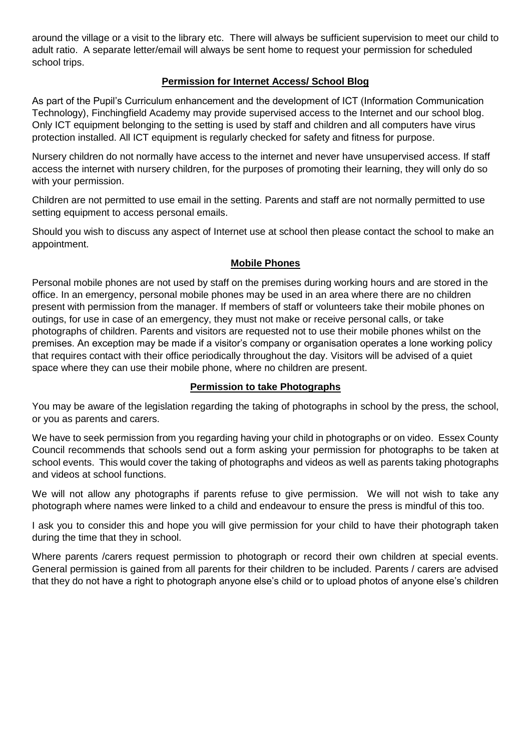around the village or a visit to the library etc. There will always be sufficient supervision to meet our child to adult ratio. A separate letter/email will always be sent home to request your permission for scheduled school trips.

# **Permission for Internet Access/ School Blog**

As part of the Pupil's Curriculum enhancement and the development of ICT (Information Communication Technology), Finchingfield Academy may provide supervised access to the Internet and our school blog. Only ICT equipment belonging to the setting is used by staff and children and all computers have virus protection installed. All ICT equipment is regularly checked for safety and fitness for purpose.

Nursery children do not normally have access to the internet and never have unsupervised access. If staff access the internet with nursery children, for the purposes of promoting their learning, they will only do so with your permission.

Children are not permitted to use email in the setting. Parents and staff are not normally permitted to use setting equipment to access personal emails.

Should you wish to discuss any aspect of Internet use at school then please contact the school to make an appointment.

# **Mobile Phones**

Personal mobile phones are not used by staff on the premises during working hours and are stored in the office. In an emergency, personal mobile phones may be used in an area where there are no children present with permission from the manager. If members of staff or volunteers take their mobile phones on outings, for use in case of an emergency, they must not make or receive personal calls, or take photographs of children. Parents and visitors are requested not to use their mobile phones whilst on the premises. An exception may be made if a visitor's company or organisation operates a lone working policy that requires contact with their office periodically throughout the day. Visitors will be advised of a quiet space where they can use their mobile phone, where no children are present.

#### **Permission to take Photographs**

You may be aware of the legislation regarding the taking of photographs in school by the press, the school, or you as parents and carers.

We have to seek permission from you regarding having your child in photographs or on video. Essex County Council recommends that schools send out a form asking your permission for photographs to be taken at school events. This would cover the taking of photographs and videos as well as parents taking photographs and videos at school functions.

We will not allow any photographs if parents refuse to give permission. We will not wish to take any photograph where names were linked to a child and endeavour to ensure the press is mindful of this too.

I ask you to consider this and hope you will give permission for your child to have their photograph taken during the time that they in school.

Where parents /carers request permission to photograph or record their own children at special events. General permission is gained from all parents for their children to be included. Parents / carers are advised that they do not have a right to photograph anyone else's child or to upload photos of anyone else's children